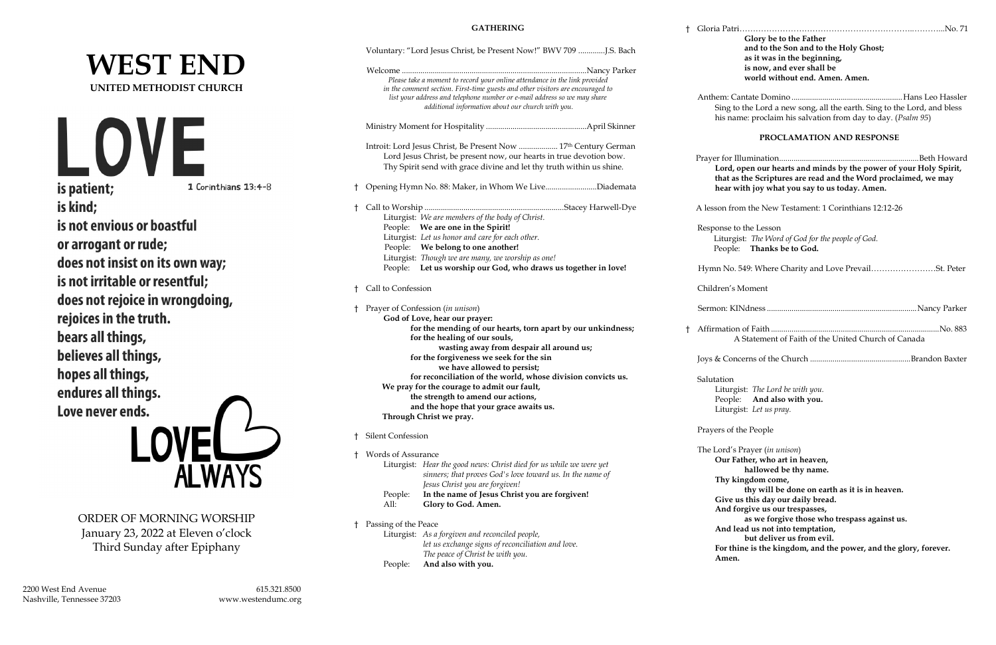## **WEST END UNITED METHODIST CHURCH**



ORDER OF MORNING WORSHIP January 23, 2022 at Eleven o'clock Third Sunday after Epiphany

2200 West End Avenue 615.321.8500 Nashville, Tennessee 37203 www.westendumc.org

|      |                                                                                                             | Voluntary: "Lord Jesus Christ, be Present Now!" BWV 709 J.S. Bach                                                                                                                                                                                                                             |                |                           |
|------|-------------------------------------------------------------------------------------------------------------|-----------------------------------------------------------------------------------------------------------------------------------------------------------------------------------------------------------------------------------------------------------------------------------------------|----------------|---------------------------|
|      |                                                                                                             | Please take a moment to record your online attendance in the link provided<br>in the comment section. First-time guests and other visitors are encouraged to<br>list your address and telephone number or e-mail address so we may share<br>additional information about our church with you. |                | A                         |
|      |                                                                                                             |                                                                                                                                                                                                                                                                                               |                |                           |
|      |                                                                                                             | Introit: Lord Jesus Christ, Be Present Now  17th Century German<br>Lord Jesus Christ, be present now, our hearts in true devotion bow.<br>Thy Spirit send with grace divine and let thy truth within us shine.                                                                                | P <sub>1</sub> |                           |
| Ť.   |                                                                                                             | Opening Hymn No. 88: Maker, in Whom We LiveDiademata                                                                                                                                                                                                                                          |                |                           |
| $^+$ |                                                                                                             |                                                                                                                                                                                                                                                                                               | А              |                           |
|      |                                                                                                             | Liturgist: We are members of the body of Christ.<br>People: We are one in the Spirit!                                                                                                                                                                                                         |                | $\mathbb{R}$              |
|      |                                                                                                             | Liturgist: Let us honor and care for each other.                                                                                                                                                                                                                                              |                |                           |
|      |                                                                                                             | People: We belong to one another!                                                                                                                                                                                                                                                             |                |                           |
|      |                                                                                                             | Liturgist: Though we are many, we worship as one!<br>People: Let us worship our God, who draws us together in love!                                                                                                                                                                           |                | $\boldsymbol{\mathrm{F}}$ |
| Ť.   | Call to Confession                                                                                          |                                                                                                                                                                                                                                                                                               |                | $\subset$                 |
| ŧ    |                                                                                                             | Prayer of Confession (in unison)                                                                                                                                                                                                                                                              |                | S                         |
|      | God of Love, hear our prayer:                                                                               |                                                                                                                                                                                                                                                                                               |                |                           |
|      | for the mending of our hearts, torn apart by our unkindness;<br>for the healing of our souls,               |                                                                                                                                                                                                                                                                                               | $\dagger$ A    |                           |
|      | wasting away from despair all around us;                                                                    |                                                                                                                                                                                                                                                                                               |                |                           |
|      | for the forgiveness we seek for the sin<br>we have allowed to persist;                                      |                                                                                                                                                                                                                                                                                               |                | Jo                        |
|      |                                                                                                             |                                                                                                                                                                                                                                                                                               |                |                           |
|      | for reconciliation of the world, whose division convicts us.<br>We pray for the courage to admit our fault, |                                                                                                                                                                                                                                                                                               |                | S                         |
|      | the strength to amend our actions,                                                                          |                                                                                                                                                                                                                                                                                               |                |                           |
|      |                                                                                                             | and the hope that your grace awaits us.<br>Through Christ we pray.                                                                                                                                                                                                                            |                |                           |
|      |                                                                                                             |                                                                                                                                                                                                                                                                                               |                | $\mathbf P$               |
| Ť.   | <b>Silent Confession</b>                                                                                    |                                                                                                                                                                                                                                                                                               |                | T                         |
| t.   | Words of Assurance                                                                                          |                                                                                                                                                                                                                                                                                               |                |                           |
|      |                                                                                                             | Liturgist: Hear the good news: Christ died for us while we were yet<br>sinners; that proves God's love toward us. In the name of                                                                                                                                                              |                |                           |
|      |                                                                                                             | Jesus Christ you are forgiven!                                                                                                                                                                                                                                                                |                |                           |
|      | People:<br>All:                                                                                             | In the name of Jesus Christ you are forgiven!<br>Glory to God. Amen.                                                                                                                                                                                                                          |                |                           |
| Ť.   | Passing of the Peace                                                                                        |                                                                                                                                                                                                                                                                                               |                |                           |
|      |                                                                                                             | Liturgist: As a forgiven and reconciled people,                                                                                                                                                                                                                                               |                |                           |
|      |                                                                                                             | let us exchange signs of reconciliation and love.                                                                                                                                                                                                                                             |                |                           |
|      |                                                                                                             | The peace of Christ be with you.                                                                                                                                                                                                                                                              |                |                           |
|      | People:                                                                                                     | And also with you.                                                                                                                                                                                                                                                                            |                |                           |

† Gloria Patri………………………………………………………..………...No. 71 **Glory be to the Father and to the Son and to the Holy Ghost; as it was in the beginning, is now, and ever shall be world without end. Amen. Amen.** Anthem: Cantate Domino ......................................................Hans Leo Hassler Sing to the Lord a new song, all the earth. Sing to the Lord, and bless his name: proclaim his salvation from day to day. (*Psalm 95*) **PROCLAMATION AND RESPONSE** Prayer for Illumination....................................................................Beth Howard **Lord, open our hearts and minds by the power of your Holy Spirit, that as the Scriptures are read and the Word proclaimed, we may hear with joy what you say to us today. Amen.** lesson from the New Testament: 1 Corinthians 12:12-26 Response to the Lesson Liturgist: *The Word of God for the people of God.* People: **Thanks be to God.** Hymn No. 549: Where Charity and Love Prevail……………………St. Peter Children's Moment Sermon: KINdness .........................................................................Nancy Parker † Affirmation of Faith ..................................................................................No. 883 A Statement of Faith of the United Church of Canada Joys & Concerns of the Church .................................................Brandon Baxter Salutation Liturgist: *The Lord be with you.* People: **And also with you.** Liturgist: *Let us pray.* Prayers of the People The Lord's Prayer (*in unison*) **Our Father, who art in heaven, hallowed be thy name. Thy kingdom come, thy will be done on earth as it is in heaven. Give us this day our daily bread. And forgive us our trespasses, as we forgive those who trespass against us. And lead us not into temptation, but deliver us from evil. For thine is the kingdom, and the power, and the glory, forever. Amen.**